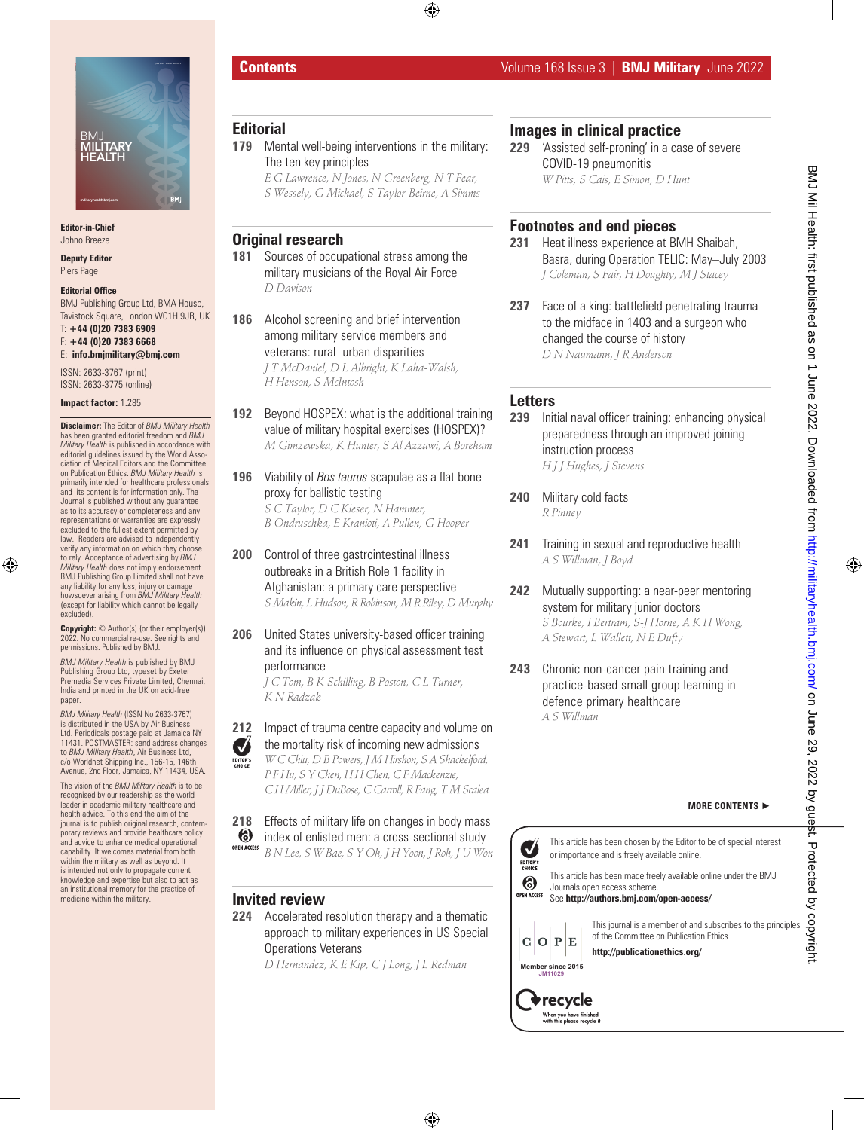

**Editor-in-Chief** Johno Breeze

**Deputy Editor**

# Piers Page

**Editorial Office** BMJ Publishing Group Ltd, BMA House, Tavistock Square, London WC1H 9JR, UK T: **+44 (0)20 7383 6909** F: **+44 (0)20 7383 6668**

E: **info.bmjmilitary@bmj.com**

ISSN: 2633-3767 (print) ISSN: 2633-3775 (online)

#### **Impact factor:** 1.285

**Disclaimer:** The Editor of *BMJ Military Health*  has been granted editorial freedom and *BMJ Military Health* is published in accordance with editorial guidelines issued by the World Association of Medical Editors and the Committee on Publication Ethics. *BMJ Military Health* is primarily intended for healthcare professionals and its content is for information only. The Journal is published without any guarantee as to its accuracy or completeness and any representations or warranties are expressly excluded to the fullest extent permitted by law. Readers are advised to independently verify any information on which they choose to rely. Acceptance of advertising by *BMJ Military Health* does not imply endorsement. BMJ Publishing Group Limited shall not have any liability for any loss, injury or damage howsoever arising from *BMJ Military Health*  (except for liability which cannot be legally excluded).

**Copyright:** © Author(s) (or their employer(s)) 2022. No commercial re-use. See rights and permissions. Published by BMJ.

*BMJ Military Health* is published by BMJ Publishing Group Ltd, typeset by Exeter Premedia Services Private Limited, Chennai, India and printed in the UK on acid-free paper

*BMJ Military Health* (ISSN No 2633-3767) is distributed in the USA by Air Business Ltd. Periodicals postage paid at Jamaica NY 11431. POSTMASTER: send address changes to *BMJ Military Health,* Air Business Ltd,<br>c/o Worldnet Shipping Inc., 156-15, 146th<br>Avenue, 2nd Floor, Jamaica, NY 11434, USA.

The vision of the *BMJ Military Health* is to be recognised by our readership as the world leader in academic military healthcare and health advice. To this end the aim of the journal is to publish original research, contemporary reviews and provide healthcare policy and advice to enhance medical operational capability. It welcomes material from both within the military as well as beyond. It is intended not only to propagate current knowledge and expertise but also to act as an institutional memory for the practice of medicine within the military.

# **Editorial**

- **179** Mental well-being interventions in the military: The ten key principles
	- *E G Lawrence, N Jones, N Greenberg, N T Fear, S Wessely, G Michael, S Taylor-Beirne, A Simms*

## **Original research**

- **181** Sources of occupational stress among the military musicians of the Royal Air Force *D Davison*
- **186** Alcohol screening and brief intervention among military service members and veterans: rural–urban disparities *J T McDaniel, D L Albright, K Laha-Walsh, H Henson, S McIntosh*
- **192** Beyond HOSPEX: what is the additional training value of military hospital exercises (HOSPEX)? *M Gimzewska, K Hunter, S Al Azzawi, A Boreham*
- **196** Viability of *Bos taurus* scapulae as a flat bone proxy for ballistic testing *S C Taylor, D C Kieser, N Hammer, B Ondruschka, E Kranioti, A Pullen, G Hooper*
- **200** Control of three gastrointestinal illness outbreaks in a British Role 1 facility in Afghanistan: a primary care perspective *S Makin, L Hudson, R Robinson, M R Riley, D Murphy*

#### **206** United States university-based officer training and its influence on physical assessment test performance

*J C Tom, B K Schilling, B Poston, C L Turner, K N Radzak*

- **212** Impact of trauma centre capacity and volume on the mortality risk of incoming new admissions Ø
	- *W C Chiu, D B Powers, J M Hirshon, S A Shackelford, P F Hu, S Y Chen, H H Chen, C F Mackenzie, C H Miller, J J DuBose, C Carroll, R Fang, T M Scalea*
- **218** Effects of military life on changes in body mass index of enlisted men: a cross-sectional study **(6)** OPEN ACCES: *B N Lee, S W Bae, S Y Oh, J H Yoon, J Roh, J U Won*

#### **Invited review**

**224** Accelerated resolution therapy and a thematic approach to military experiences in US Special Operations Veterans

*D Hernandez, K E Kip, C J Long, J L Redman*

## **Images in clinical practice**

**229** 'Assisted self-proning' in a case of severe COVID-19 pneumonitis *W Pitts, S Cais, E Simon, D Hunt*

## **Footnotes and end pieces**

- **231** Heat illness experience at BMH Shaibah, Basra, during Operation TELIC: May–July 2003 *J Coleman, S Fair, H Doughty, M J Stacey*
- **237** Face of a king: battlefield penetrating trauma to the midface in 1403 and a surgeon who changed the course of history *D N Naumann, J R Anderson*

#### **Letters**

- **239** Initial naval officer training: enhancing physical preparedness through an improved joining instruction process *H J J Hughes, J Stevens*
- **240** Military cold facts *R Pinney*
- **241** Training in sexual and reproductive health *A S Willman, J Boyd*
- **242** Mutually supporting: a near-peer mentoring system for military junior doctors *S Bourke, I Bertram, S-J Horne, A K H Wong, A Stewart, L Wallett, N E Dufty*
- **243** Chronic non-cancer pain training and practice-based small group learning in defence primary healthcare *A S Willman*

#### **MORE CONTENTS** ►

This article has been chosen by the Editor to be of special interest  $\blacktriangledown$ or importance and is freely available online. EDITOR'S<br>CHOICE

This article has been made freely available online under the BMJ Journals open access scheme. See **http://authors.bmj.com/open-access/**



 $C|O|P$ 

**Member since 2015 JM11029**

> $\blacklozenge$  recycle When you have finished<br>with this please recycle i

E

This journal is a member of and subscribes to the principles of the Committee on Publication Ethics

**http://publicationethics.org/**